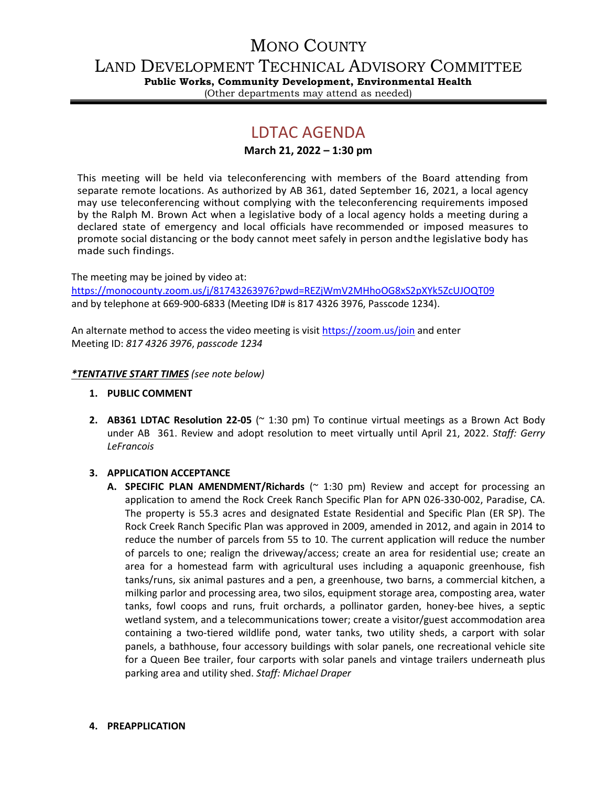# MONO COUNTY

LAND DEVELOPMENT TECHNICAL ADVISORY COMMITTEE

**Public Works, Community Development, Environmental Health**

# (Other departments may attend as needed)

# LDTAC AGENDA

## **March 21, 2022 – 1:30 pm**

This meeting will be held via teleconferencing with members of the Board attending from separate remote locations. As authorized by AB 361, dated September 16, 2021, a local agency may use teleconferencing without complying with the teleconferencing requirements imposed by the Ralph M. Brown Act when a legislative body of a local agency holds a meeting during a declared state of emergency and local officials have recommended or imposed measures to promote social distancing or the body cannot meet safely in person andthe legislative body has made such findings.

The meeting may be joined by video at:

<https://monocounty.zoom.us/j/81743263976?pwd=REZjWmV2MHhoOG8xS2pXYk5ZcUJOQT09> and by telephone at 669-900-6833 (Meeting ID# is 817 4326 3976, Passcode 1234).

An alternate method to access the video meeting is visit <https://zoom.us/join> and enter Meeting ID: *817 4326 3976*, *passcode 1234*

### *\*TENTATIVE START TIMES (see note below)*

- **1. PUBLIC COMMENT**
- **2. AB361 LDTAC Resolution 22-05** (~ 1:30 pm) To continue virtual meetings as a Brown Act Body under AB 361. Review and adopt resolution to meet virtually until April 21, 2022. *Staff: Gerry LeFrancois*

### **3. APPLICATION ACCEPTANCE**

**A. SPECIFIC PLAN AMENDMENT/Richards** (~ 1:30 pm) Review and accept for processing an application to amend the Rock Creek Ranch Specific Plan for APN 026-330-002, Paradise, CA. The property is 55.3 acres and designated Estate Residential and Specific Plan (ER SP). The Rock Creek Ranch Specific Plan was approved in 2009, amended in 2012, and again in 2014 to reduce the number of parcels from 55 to 10. The current application will reduce the number of parcels to one; realign the driveway/access; create an area for residential use; create an area for a homestead farm with agricultural uses including a aquaponic greenhouse, fish tanks/runs, six animal pastures and a pen, a greenhouse, two barns, a commercial kitchen, a milking parlor and processing area, two silos, equipment storage area, composting area, water tanks, fowl coops and runs, fruit orchards, a pollinator garden, honey-bee hives, a septic wetland system, and a telecommunications tower; create a visitor/guest accommodation area containing a two-tiered wildlife pond, water tanks, two utility sheds, a carport with solar panels, a bathhouse, four accessory buildings with solar panels, one recreational vehicle site for a Queen Bee trailer, four carports with solar panels and vintage trailers underneath plus parking area and utility shed. *Staff: Michael Draper*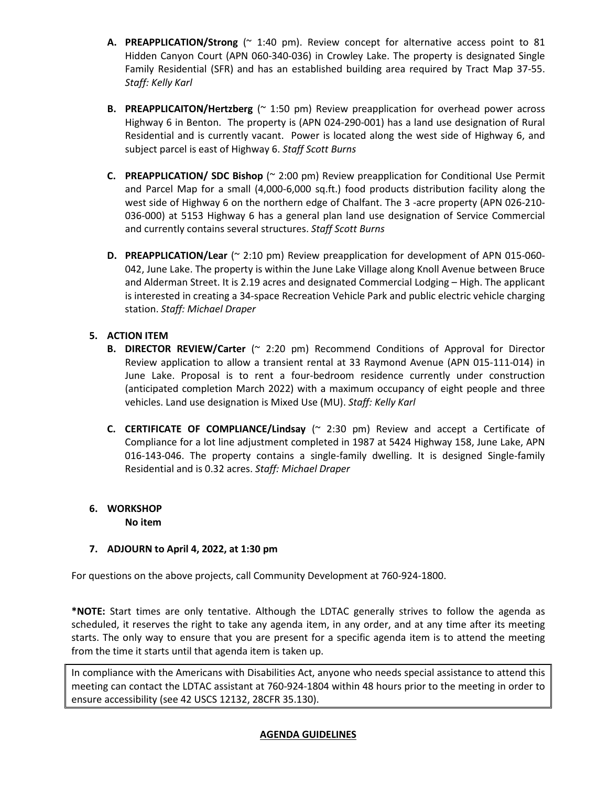- **A. PREAPPLICATION/Strong** (~ 1:40 pm). Review concept for alternative access point to 81 Hidden Canyon Court (APN 060-340-036) in Crowley Lake. The property is designated Single Family Residential (SFR) and has an established building area required by Tract Map 37-55. *Staff: Kelly Karl*
- **B. PREAPPLICAITON/Hertzberg** (~ 1:50 pm) Review preapplication for overhead power across Highway 6 in Benton. The property is (APN 024-290-001) has a land use designation of Rural Residential and is currently vacant. Power is located along the west side of Highway 6, and subject parcel is east of Highway 6. *Staff Scott Burns*
- **C. PREAPPLICATION/ SDC Bishop** (~ 2:00 pm) Review preapplication for Conditional Use Permit and Parcel Map for a small (4,000-6,000 sq.ft.) food products distribution facility along the west side of Highway 6 on the northern edge of Chalfant. The 3 -acre property (APN 026-210- 036-000) at 5153 Highway 6 has a general plan land use designation of Service Commercial and currently contains several structures. *Staff Scott Burns*
- **D. PREAPPLICATION/Lear** (~ 2:10 pm) Review preapplication for development of APN 015-060- 042, June Lake. The property is within the June Lake Village along Knoll Avenue between Bruce and Alderman Street. It is 2.19 acres and designated Commercial Lodging – High. The applicant is interested in creating a 34-space Recreation Vehicle Park and public electric vehicle charging station. *Staff: Michael Draper*

## **5. ACTION ITEM**

- **B. DIRECTOR REVIEW/Carter** (~ 2:20 pm) Recommend Conditions of Approval for Director Review application to allow a transient rental at 33 Raymond Avenue (APN 015-111-014) in June Lake. Proposal is to rent a four-bedroom residence currently under construction (anticipated completion March 2022) with a maximum occupancy of eight people and three vehicles. Land use designation is Mixed Use (MU). *Staff: Kelly Karl*
- **C. CERTIFICATE OF COMPLIANCE/Lindsay** (~ 2:30 pm) Review and accept a Certificate of Compliance for a lot line adjustment completed in 1987 at 5424 Highway 158, June Lake, APN 016-143-046. The property contains a single-family dwelling. It is designed Single-family Residential and is 0.32 acres. *Staff: Michael Draper*

#### **6. WORKSHOP No item**

## **7. ADJOURN to April 4, 2022, at 1:30 pm**

For questions on the above projects, call Community Development at 760-924-1800.

**\*NOTE:** Start times are only tentative. Although the LDTAC generally strives to follow the agenda as scheduled, it reserves the right to take any agenda item, in any order, and at any time after its meeting starts. The only way to ensure that you are present for a specific agenda item is to attend the meeting from the time it starts until that agenda item is taken up.

In compliance with the Americans with Disabilities Act, anyone who needs special assistance to attend this meeting can contact the LDTAC assistant at 760-924-1804 within 48 hours prior to the meeting in order to ensure accessibility (see 42 USCS 12132, 28CFR 35.130).

### **AGENDA GUIDELINES**